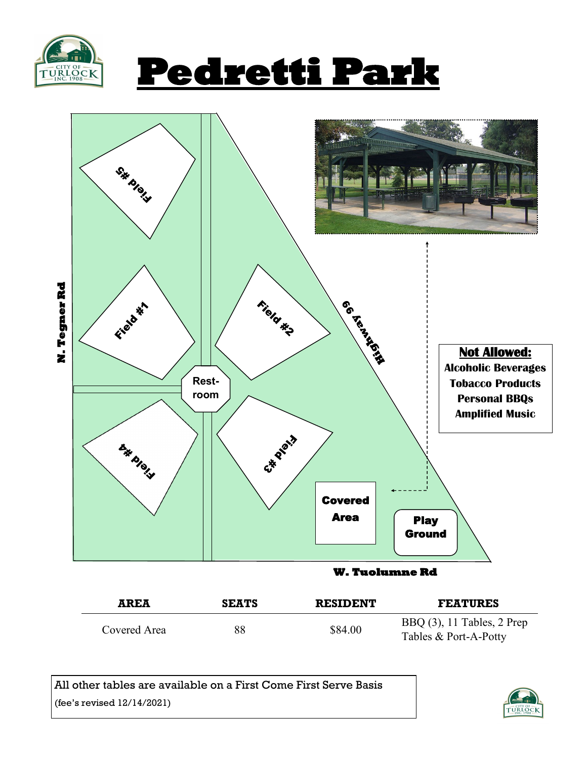





| AREA         | <b>SEATS</b> | <b>RESIDENT</b> | <b>FEATURES</b>                                        |
|--------------|--------------|-----------------|--------------------------------------------------------|
| Covered Area | 88           | \$84.00         | BBQ $(3)$ , 11 Tables, 2 Prep<br>Tables & Port-A-Potty |